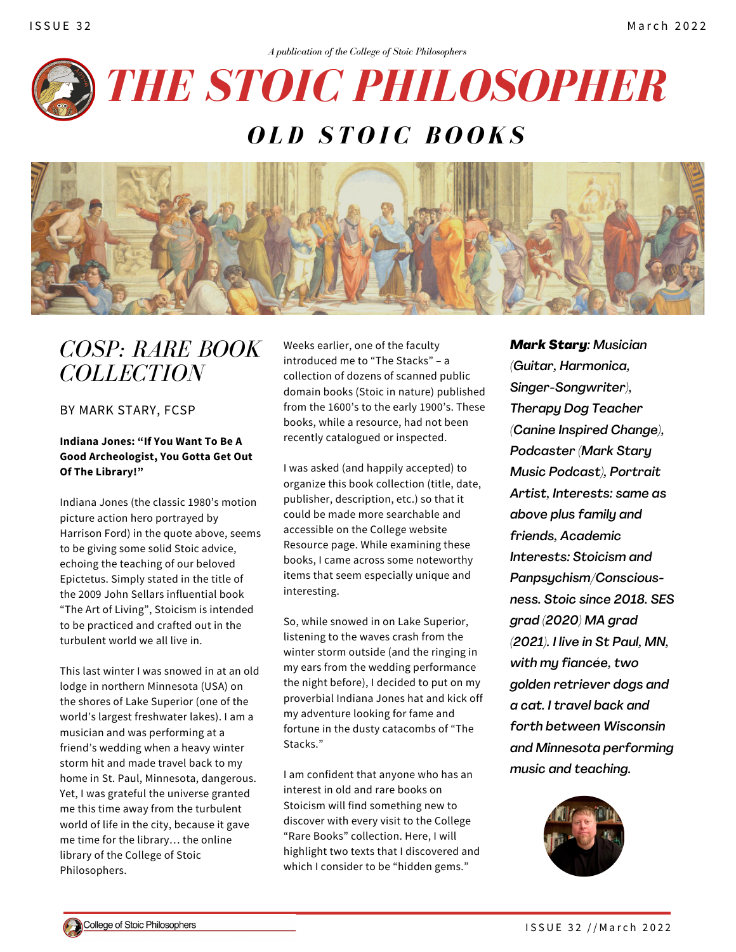



# *COSP: RARE BOOK COLLECTION*

BY MARK STARY, FCSP

### **Indiana Jones: "If You Want To Be A Good Archeologist, You Gotta Get Out Of The Library!"**

Indiana Jones (the classic 1980's motion picture action hero portrayed by Harrison Ford) in the quote above, seems to be giving some solid Stoic advice, echoing the teaching of our beloved Epictetus. Simply stated in the title of the 2009 John Sellars influential book "The Art of Living", Stoicism is intended to be practiced and crafted out in the turbulent world we all live in.

This last winter I was snowed in at an old lodge in northern Minnesota (USA) on the shores of Lake Superior (one of the world's largest freshwater lakes). I am a musician and was performing at a friend's wedding when a heavy winter storm hit and made travel back to my home in St. Paul, Minnesota, dangerous. Yet, I was grateful the universe granted me this time away from the turbulent world of life in the city, because it gave me time for the library… the online library of the College of Stoic Philosophers.

Weeks earlier, one of the faculty introduced me to "The Stacks" – a collection of dozens of scanned public domain books (Stoic in nature) published from the 1600's to the early 1900's. These books, while a resource, had not been recently catalogued or inspected.

I was asked (and happily accepted) to organize this book collection (title, date, publisher, description, etc.) so that it could be made more searchable and accessible on the College website Resource page. While examining these books, I came across some noteworthy items that seem especially unique and interesting.

So, while snowed in on Lake Superior, listening to the waves crash from the winter storm outside (and the ringing in my ears from the wedding performance the night before), I decided to put on my proverbial Indiana Jones hat and kick off my adventure looking for fame and fortune in the dusty catacombs of "The Stacks."

I am confident that anyone who has an interest in old and rare books on Stoicism will find something new to discover with every visit to the College "Rare Books" collection. Here, I will highlight two texts that I discovered and which I consider to be "hidden gems."

*Mark Stary: Musician (Guitar, Harmonica, Singer-Songwriter), Therapy Dog Teacher (Canine Inspired Change), Podcaster (Mark Stary Music Podcast), Portrait Artist, Interests: same as above plus family and friends, Academic Interests: Stoicism and Panpsychism/Consciousness. Stoic since 2018. SES grad (2020) MA grad (2021). I live in St Paul, MN, with my fiancée, two golden retriever dogs and a cat. I travel back and forth between Wisconsin and Minnesota performing music and teaching.*